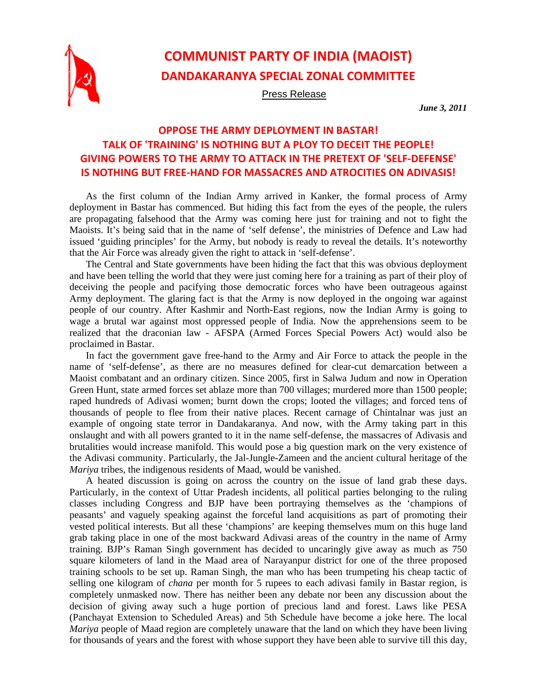

## **COMMUNIST PARTY OF INDIA (MAOIST) DANDAKARANYA SPECIAL ZONAL COMMITTEE**

Press Release

*June 3, 2011* 

## **OPPOSE THE ARMY DEPLOYMENT IN BASTAR! TALK OF 'TRAINING' IS NOTHING BUT A PLOY TO DECEIT THE PEOPLE! GIVING POWERS TO THE ARMY TO ATTACK IN THE PRETEXT OF 'SELF‐DEFENSE' IS NOTHING BUT FREE‐HAND FOR MASSACRES AND ATROCITIES ON ADIVASIS!**

As the first column of the Indian Army arrived in Kanker, the formal process of Army deployment in Bastar has commenced. But hiding this fact from the eyes of the people, the rulers are propagating falsehood that the Army was coming here just for training and not to fight the Maoists. It's being said that in the name of 'self defense', the ministries of Defence and Law had issued 'guiding principles' for the Army, but nobody is ready to reveal the details. It's noteworthy that the Air Force was already given the right to attack in 'self-defense'.

The Central and State governments have been hiding the fact that this was obvious deployment and have been telling the world that they were just coming here for a training as part of their ploy of deceiving the people and pacifying those democratic forces who have been outrageous against Army deployment. The glaring fact is that the Army is now deployed in the ongoing war against people of our country. After Kashmir and North-East regions, now the Indian Army is going to wage a brutal war against most oppressed people of India. Now the apprehensions seem to be realized that the draconian law - AFSPA (Armed Forces Special Powers Act) would also be proclaimed in Bastar.

In fact the government gave free-hand to the Army and Air Force to attack the people in the name of 'self-defense', as there are no measures defined for clear-cut demarcation between a Maoist combatant and an ordinary citizen. Since 2005, first in Salwa Judum and now in Operation Green Hunt, state armed forces set ablaze more than 700 villages; murdered more than 1500 people; raped hundreds of Adivasi women; burnt down the crops; looted the villages; and forced tens of thousands of people to flee from their native places. Recent carnage of Chintalnar was just an example of ongoing state terror in Dandakaranya. And now, with the Army taking part in this onslaught and with all powers granted to it in the name self-defense, the massacres of Adivasis and brutalities would increase manifold. This would pose a big question mark on the very existence of the Adivasi community. Particularly, the Jal-Jungle-Zameen and the ancient cultural heritage of the *Mariya* tribes, the indigenous residents of Maad, would be vanished.

A heated discussion is going on across the country on the issue of land grab these days. Particularly, in the context of Uttar Pradesh incidents, all political parties belonging to the ruling classes including Congress and BJP have been portraying themselves as the 'champions of peasants' and vaguely speaking against the forceful land acquisitions as part of promoting their vested political interests. But all these 'champions' are keeping themselves mum on this huge land grab taking place in one of the most backward Adivasi areas of the country in the name of Army training. BJP's Raman Singh government has decided to uncaringly give away as much as 750 square kilometers of land in the Maad area of Narayanpur district for one of the three proposed training schools to be set up. Raman Singh, the man who has been trumpeting his cheap tactic of selling one kilogram of *chana* per month for 5 rupees to each adivasi family in Bastar region, is completely unmasked now. There has neither been any debate nor been any discussion about the decision of giving away such a huge portion of precious land and forest. Laws like PESA (Panchayat Extension to Scheduled Areas) and 5th Schedule have become a joke here. The local *Mariya* people of Maad region are completely unaware that the land on which they have been living for thousands of years and the forest with whose support they have been able to survive till this day,